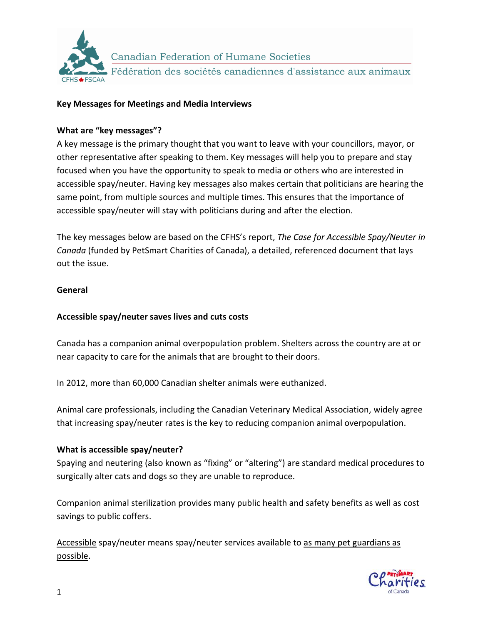

Canadian Federation of Humane Societies Fédération des sociétés canadiennes d'assistance aux animaux

#### **Key Messages for Meetings and Media Interviews**

#### **What are "key messages"?**

A key message is the primary thought that you want to leave with your councillors, mayor, or other representative after speaking to them. Key messages will help you to prepare and stay focused when you have the opportunity to speak to media or others who are interested in accessible spay/neuter. Having key messages also makes certain that politicians are hearing the same point, from multiple sources and multiple times. This ensures that the importance of accessible spay/neuter will stay with politicians during and after the election.

The key messages below are based on the CFHS's report, *The Case for Accessible Spay/Neuter in Canada* (funded by PetSmart Charities of Canada), a detailed, referenced document that lays out the issue.

#### **General**

#### **Accessible spay/neuter saves lives and cuts costs**

Canada has a companion animal overpopulation problem. Shelters across the country are at or near capacity to care for the animals that are brought to their doors.

In 2012, more than 60,000 Canadian shelter animals were euthanized.

Animal care professionals, including the Canadian Veterinary Medical Association, widely agree that increasing spay/neuter rates is the key to reducing companion animal overpopulation.

#### **What is accessible spay/neuter?**

Spaying and neutering (also known as "fixing" or "altering") are standard medical procedures to surgically alter cats and dogs so they are unable to reproduce.

Companion animal sterilization provides many public health and safety benefits as well as cost savings to public coffers.

Accessible spay/neuter means spay/neuter services available to as many pet guardians as possible.

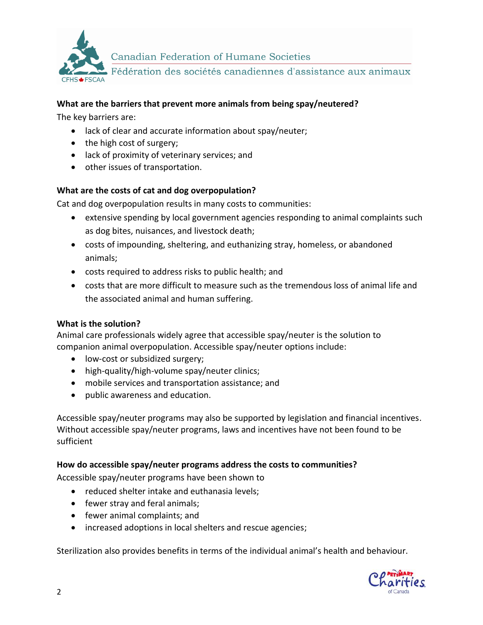

Canadian Federation of Humane Societies

Fédération des sociétés canadiennes d'assistance aux animaux

#### **What are the barriers that prevent more animals from being spay/neutered?**

The key barriers are:

- lack of clear and accurate information about spay/neuter;
- the high cost of surgery;
- lack of proximity of veterinary services; and
- other issues of transportation.

# **What are the costs of cat and dog overpopulation?**

Cat and dog overpopulation results in many costs to communities:

- extensive spending by local government agencies responding to animal complaints such as dog bites, nuisances, and livestock death;
- costs of impounding, sheltering, and euthanizing stray, homeless, or abandoned animals;
- costs required to address risks to public health; and
- costs that are more difficult to measure such as the tremendous loss of animal life and the associated animal and human suffering.

#### **What is the solution?**

Animal care professionals widely agree that accessible spay/neuter is the solution to companion animal overpopulation. Accessible spay/neuter options include:

- low-cost or subsidized surgery;
- high-quality/high-volume spay/neuter clinics;
- mobile services and transportation assistance; and
- public awareness and education.

Accessible spay/neuter programs may also be supported by legislation and financial incentives. Without accessible spay/neuter programs, laws and incentives have not been found to be sufficient

#### **How do accessible spay/neuter programs address the costs to communities?**

Accessible spay/neuter programs have been shown to

- reduced shelter intake and euthanasia levels;
- fewer stray and feral animals;
- fewer animal complaints; and
- increased adoptions in local shelters and rescue agencies;

Sterilization also provides benefits in terms of the individual animal's health and behaviour.

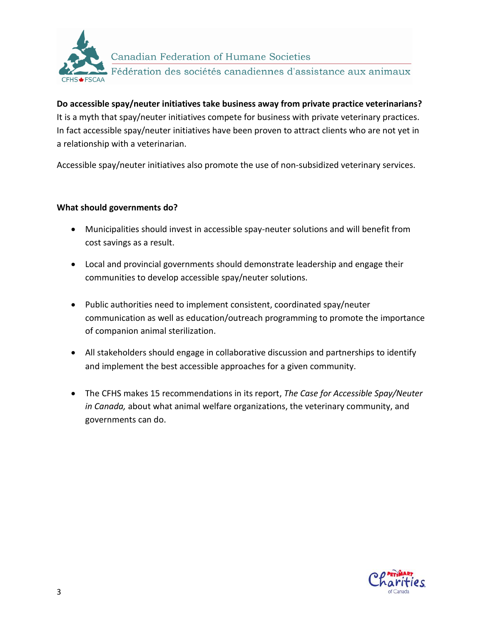

Canadian Federation of Humane Societies Fédération des sociétés canadiennes d'assistance aux animaux

**Do accessible spay/neuter initiatives take business away from private practice veterinarians?** It is a myth that spay/neuter initiatives compete for business with private veterinary practices. In fact accessible spay/neuter initiatives have been proven to attract clients who are not yet in a relationship with a veterinarian.

Accessible spay/neuter initiatives also promote the use of non-subsidized veterinary services.

#### **What should governments do?**

- Municipalities should invest in accessible spay-neuter solutions and will benefit from cost savings as a result.
- Local and provincial governments should demonstrate leadership and engage their communities to develop accessible spay/neuter solutions.
- Public authorities need to implement consistent, coordinated spay/neuter communication as well as education/outreach programming to promote the importance of companion animal sterilization.
- All stakeholders should engage in collaborative discussion and partnerships to identify and implement the best accessible approaches for a given community.
- The CFHS makes 15 recommendations in its report, *The Case for Accessible Spay/Neuter in Canada,* about what animal welfare organizations, the veterinary community, and governments can do.

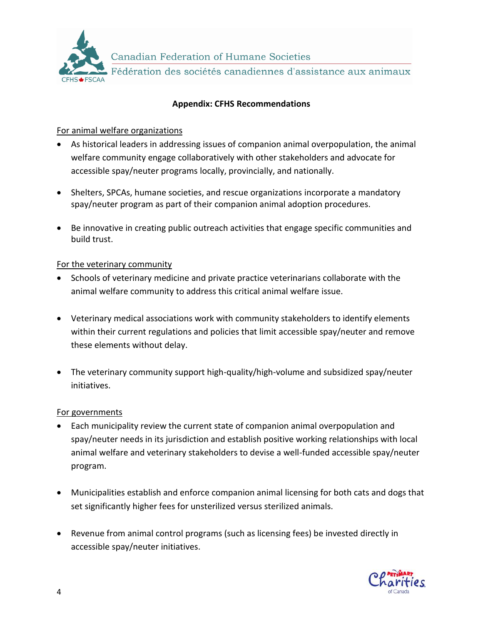

Fédération des sociétés canadiennes d'assistance aux animaux

# **Appendix: CFHS Recommendations**

#### For animal welfare organizations

- As historical leaders in addressing issues of companion animal overpopulation, the animal welfare community engage collaboratively with other stakeholders and advocate for accessible spay/neuter programs locally, provincially, and nationally.
- Shelters, SPCAs, humane societies, and rescue organizations incorporate a mandatory spay/neuter program as part of their companion animal adoption procedures.
- Be innovative in creating public outreach activities that engage specific communities and build trust.

# For the veterinary community

- Schools of veterinary medicine and private practice veterinarians collaborate with the animal welfare community to address this critical animal welfare issue.
- Veterinary medical associations work with community stakeholders to identify elements within their current regulations and policies that limit accessible spay/neuter and remove these elements without delay.
- The veterinary community support high-quality/high-volume and subsidized spay/neuter initiatives.

#### For governments

- Each municipality review the current state of companion animal overpopulation and spay/neuter needs in its jurisdiction and establish positive working relationships with local animal welfare and veterinary stakeholders to devise a well-funded accessible spay/neuter program.
- Municipalities establish and enforce companion animal licensing for both cats and dogs that set significantly higher fees for unsterilized versus sterilized animals.
- Revenue from animal control programs (such as licensing fees) be invested directly in accessible spay/neuter initiatives.